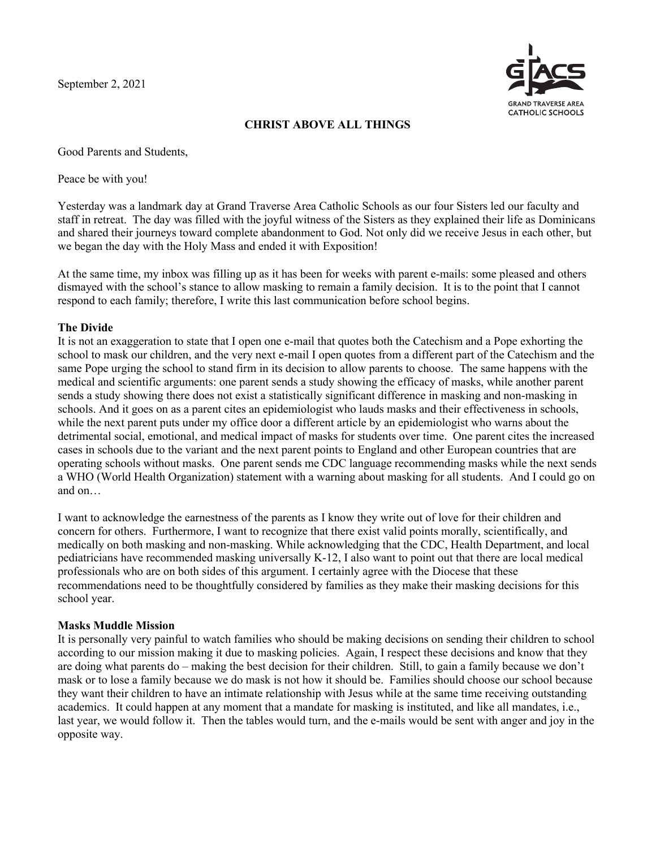September 2, 2021



# **CHRIST ABOVE ALL THINGS**

Good Parents and Students,

Peace be with you!

Yesterday was a landmark day at Grand Traverse Area Catholic Schools as our four Sisters led our faculty and staff in retreat. The day was filled with the joyful witness of the Sisters as they explained their life as Dominicans and shared their journeys toward complete abandonment to God. Not only did we receive Jesus in each other, but we began the day with the Holy Mass and ended it with Exposition!

At the same time, my inbox was filling up as it has been for weeks with parent e-mails: some pleased and others dismayed with the school's stance to allow masking to remain a family decision. It is to the point that I cannot respond to each family; therefore, I write this last communication before school begins.

## **The Divide**

It is not an exaggeration to state that I open one e-mail that quotes both the Catechism and a Pope exhorting the school to mask our children, and the very next e-mail I open quotes from a different part of the Catechism and the same Pope urging the school to stand firm in its decision to allow parents to choose. The same happens with the medical and scientific arguments: one parent sends a study showing the efficacy of masks, while another parent sends a study showing there does not exist a statistically significant difference in masking and non-masking in schools. And it goes on as a parent cites an epidemiologist who lauds masks and their effectiveness in schools, while the next parent puts under my office door a different article by an epidemiologist who warns about the detrimental social, emotional, and medical impact of masks for students over time. One parent cites the increased cases in schools due to the variant and the next parent points to England and other European countries that are operating schools without masks. One parent sends me CDC language recommending masks while the next sends a WHO (World Health Organization) statement with a warning about masking for all students. And I could go on and on…

I want to acknowledge the earnestness of the parents as I know they write out of love for their children and concern for others. Furthermore, I want to recognize that there exist valid points morally, scientifically, and medically on both masking and non-masking. While acknowledging that the CDC, Health Department, and local pediatricians have recommended masking universally K-12, I also want to point out that there are local medical professionals who are on both sides of this argument. I certainly agree with the Diocese that these recommendations need to be thoughtfully considered by families as they make their masking decisions for this school year.

## **Masks Muddle Mission**

It is personally very painful to watch families who should be making decisions on sending their children to school according to our mission making it due to masking policies. Again, I respect these decisions and know that they are doing what parents do – making the best decision for their children. Still, to gain a family because we don't mask or to lose a family because we do mask is not how it should be. Families should choose our school because they want their children to have an intimate relationship with Jesus while at the same time receiving outstanding academics. It could happen at any moment that a mandate for masking is instituted, and like all mandates, i.e., last year, we would follow it. Then the tables would turn, and the e-mails would be sent with anger and joy in the opposite way.